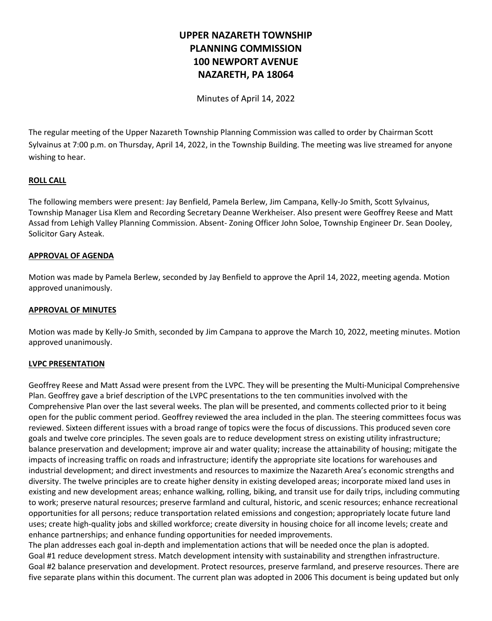# **UPPER NAZARETH TOWNSHIP PLANNING COMMISSION 100 NEWPORT AVENUE NAZARETH, PA 18064**

Minutes of April 14, 2022

The regular meeting of the Upper Nazareth Township Planning Commission was called to order by Chairman Scott Sylvainus at 7:00 p.m. on Thursday, April 14, 2022, in the Township Building. The meeting was live streamed for anyone wishing to hear.

# **ROLL CALL**

The following members were present: Jay Benfield, Pamela Berlew, Jim Campana, Kelly-Jo Smith, Scott Sylvainus, Township Manager Lisa Klem and Recording Secretary Deanne Werkheiser. Also present were Geoffrey Reese and Matt Assad from Lehigh Valley Planning Commission. Absent- Zoning Officer John Soloe, Township Engineer Dr. Sean Dooley, Solicitor Gary Asteak.

## **APPROVAL OF AGENDA**

Motion was made by Pamela Berlew, seconded by Jay Benfield to approve the April 14, 2022, meeting agenda. Motion approved unanimously.

## **APPROVAL OF MINUTES**

Motion was made by Kelly-Jo Smith, seconded by Jim Campana to approve the March 10, 2022, meeting minutes. Motion approved unanimously.

## **LVPC PRESENTATION**

Geoffrey Reese and Matt Assad were present from the LVPC. They will be presenting the Multi-Municipal Comprehensive Plan. Geoffrey gave a brief description of the LVPC presentations to the ten communities involved with the Comprehensive Plan over the last several weeks. The plan will be presented, and comments collected prior to it being open for the public comment period. Geoffrey reviewed the area included in the plan. The steering committees focus was reviewed. Sixteen different issues with a broad range of topics were the focus of discussions. This produced seven core goals and twelve core principles. The seven goals are to reduce development stress on existing utility infrastructure; balance preservation and development; improve air and water quality; increase the attainability of housing; mitigate the impacts of increasing traffic on roads and infrastructure; identify the appropriate site locations for warehouses and industrial development; and direct investments and resources to maximize the Nazareth Area's economic strengths and diversity. The twelve principles are to create higher density in existing developed areas; incorporate mixed land uses in existing and new development areas; enhance walking, rolling, biking, and transit use for daily trips, including commuting to work; preserve natural resources; preserve farmland and cultural, historic, and scenic resources; enhance recreational opportunities for all persons; reduce transportation related emissions and congestion; appropriately locate future land uses; create high-quality jobs and skilled workforce; create diversity in housing choice for all income levels; create and enhance partnerships; and enhance funding opportunities for needed improvements.

The plan addresses each goal in-depth and implementation actions that will be needed once the plan is adopted. Goal #1 reduce development stress. Match development intensity with sustainability and strengthen infrastructure. Goal #2 balance preservation and development. Protect resources, preserve farmland, and preserve resources. There are five separate plans within this document. The current plan was adopted in 2006 This document is being updated but only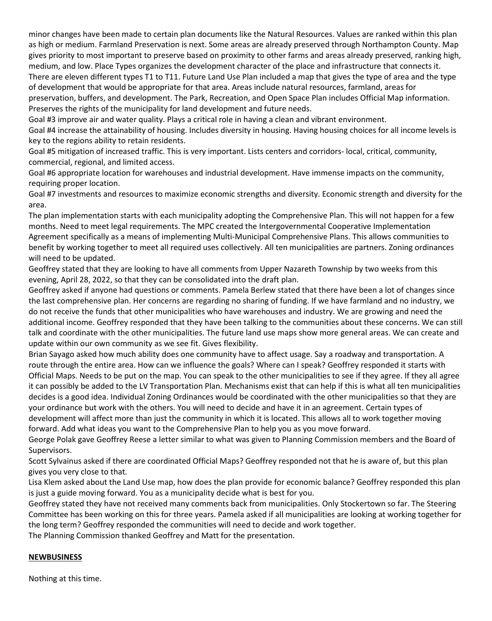minor changes have been made to certain plan documents like the Natural Resources. Values are ranked within this plan as high or medium. Farmland Preservation is next. Some areas are already preserved through Northampton County. Map gives priority to most important to preserve based on proximity to other farms and areas already preserved, ranking high, medium, and low. Place Types organizes the development character of the place and infrastructure that connects it. There are eleven different types T1 to T11. Future Land Use Plan included a map that gives the type of area and the type of development that would be appropriate for that area. Areas include natural resources, farmland, areas for preservation, buffers, and development. The Park, Recreation, and Open Space Plan includes Official Map information. Preserves the rights of the municipality for land development and future needs.

Goal #3 improve air and water quality. Plays a critical role in having a clean and vibrant environment.

Goal #4 increase the attainability of housing. Includes diversity in housing. Having housing choices for all income levels is key to the regions ability to retain residents.

Goal #5 mitigation of increased traffic. This is very important. Lists centers and corridors- local, critical, community, commercial, regional, and limited access.

Goal #6 appropriate location for warehouses and industrial development. Have immense impacts on the community, requiring proper location.

Goal #7 investments and resources to maximize economic strengths and diversity. Economic strength and diversity for the area.

The plan implementation starts with each municipality adopting the Comprehensive Plan. This will not happen for a few months. Need to meet legal requirements. The MPC created the Intergovernmental Cooperative Implementation Agreement specifically as a means of implementing Multi-Municipal Comprehensive Plans. This allows communities to benefit by working together to meet all required uses collectively. All ten municipalities are partners. Zoning ordinances will need to be updated.

Geoffrey stated that they are looking to have all comments from Upper Nazareth Township by two weeks from this evening, April 28, 2022, so that they can be consolidated into the draft plan.

Geoffrey asked if anyone had questions or comments. Pamela Berlew stated that there have been a lot of changes since the last comprehensive plan. Her concerns are regarding no sharing of funding. If we have farmland and no industry, we do not receive the funds that other municipalities who have warehouses and industry. We are growing and need the additional income. Geoffrey responded that they have been talking to the communities about these concerns. We can still talk and coordinate with the other municipalities. The future land use maps show more general areas. We can create and update within our own community as we see fit. Gives flexibility.

Brian Sayago asked how much ability does one community have to affect usage. Say a roadway and transportation. A route through the entire area. How can we influence the goals? Where can I speak? Geoffrey responded it starts with Official Maps. Needs to be put on the map. You can speak to the other municipalities to see if they agree. If they all agree it can possibly be added to the LV Transportation Plan. Mechanisms exist that can help if this is what all ten municipalities decides is a good idea. Individual Zoning Ordinances would be coordinated with the other municipalities so that they are your ordinance but work with the others. You will need to decide and have it in an agreement. Certain types of development will affect more than just the community in which it is located. This allows all to work together moving forward. Add what ideas you want to the Comprehensive Plan to help you as you move forward.

George Polak gave Geoffrey Reese a letter similar to what was given to Planning Commission members and the Board of Supervisors.

Scott Sylvainus asked if there are coordinated Official Maps? Geoffrey responded not that he is aware of, but this plan gives you very close to that.

Lisa Klem asked about the Land Use map, how does the plan provide for economic balance? Geoffrey responded this plan is just a guide moving forward. You as a municipality decide what is best for you.

Geoffrey stated they have not received many comments back from municipalities. Only Stockertown so far. The Steering Committee has been working on this for three years. Pamela asked if all municipalities are looking at working together for the long term? Geoffrey responded the communities will need to decide and work together.

The Planning Commission thanked Geoffrey and Matt for the presentation.

## **NEWBUSINESS**

Nothing at this time.